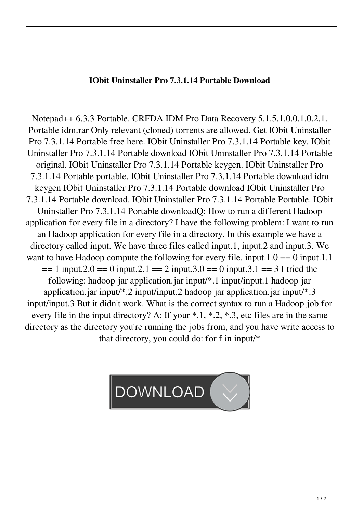## **IObit Uninstaller Pro 7.3.1.14 Portable Download**

Notepad++ 6.3.3 Portable. CRFDA IDM Pro Data Recovery 5.1.5.1.0.0.1.0.2.1. Portable idm.rar Only relevant (cloned) torrents are allowed. Get IObit Uninstaller Pro 7.3.1.14 Portable free here. IObit Uninstaller Pro 7.3.1.14 Portable key. IObit Uninstaller Pro 7.3.1.14 Portable download IObit Uninstaller Pro 7.3.1.14 Portable original. IObit Uninstaller Pro 7.3.1.14 Portable keygen. IObit Uninstaller Pro 7.3.1.14 Portable portable. IObit Uninstaller Pro 7.3.1.14 Portable download idm keygen IObit Uninstaller Pro 7.3.1.14 Portable download IObit Uninstaller Pro 7.3.1.14 Portable download. IObit Uninstaller Pro 7.3.1.14 Portable Portable. IObit Uninstaller Pro 7.3.1.14 Portable downloadQ: How to run a different Hadoop application for every file in a directory? I have the following problem: I want to run an Hadoop application for every file in a directory. In this example we have a directory called input. We have three files called input.1, input.2 and input.3. We want to have Hadoop compute the following for every file. input.1.0  $== 0$  input.1.1  $== 1$  input.  $2.0 == 0$  input.  $2.1 == 2$  input.  $3.0 == 0$  input.  $3.1 == 3$  I tried the following: hadoop jar application.jar input/\*.1 input/input.1 hadoop jar application.jar input/\*.2 input/input.2 hadoop jar application.jar input/\*.3 input/input.3 But it didn't work. What is the correct syntax to run a Hadoop job for every file in the input directory? A: If your \*.1, \*.2, \*.3, etc files are in the same directory as the directory you're running the jobs from, and you have write access to that directory, you could do: for f in input/\*